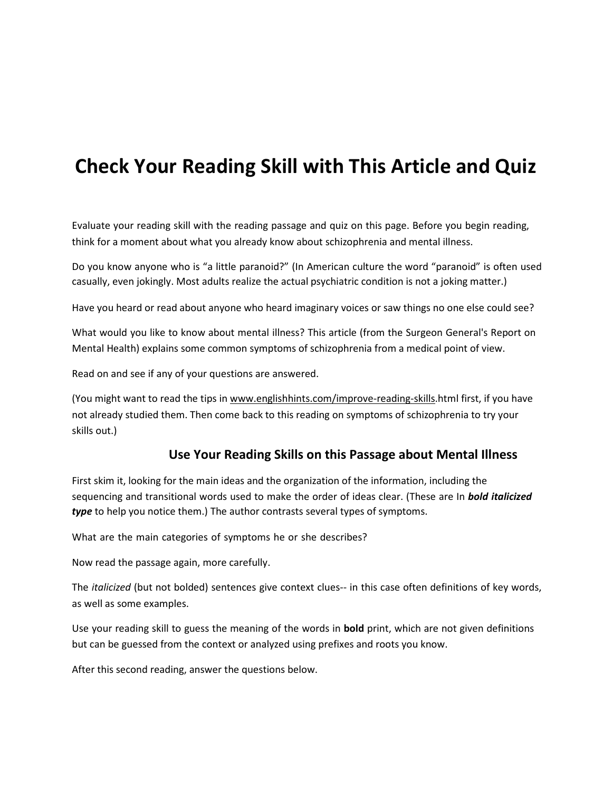# Check Your Reading Skill with This Article and Quiz

Evaluate your reading skill with the reading passage and quiz on this page. Before you begin reading, think for a moment about what you already know about schizophrenia and mental illness.

Do you know anyone who is "a little paranoid?" (In American culture the word "paranoid" is often used casually, even jokingly. Most adults realize the actual psychiatric condition is not a joking matter.)

Have you heard or read about anyone who heard imaginary voices or saw things no one else could see?

What would you like to know about mental illness? This article (from the Surgeon General's Report on Mental Health) explains some common symptoms of schizophrenia from a medical point of view.

Read on and see if any of your questions are answered.

(You might want to read the tips in www.englishhints.com/improve-reading-skills.html first, if you have not already studied them. Then come back to this reading on symptoms of schizophrenia to try your skills out.)

#### Use Your Reading Skills on this Passage about Mental Illness

First skim it, looking for the main ideas and the organization of the information, including the sequencing and transitional words used to make the order of ideas clear. (These are In bold italicized type to help you notice them.) The author contrasts several types of symptoms.

What are the main categories of symptoms he or she describes?

Now read the passage again, more carefully.

The *italicized* (but not bolded) sentences give context clues-- in this case often definitions of key words, as well as some examples.

Use your reading skill to guess the meaning of the words in **bold** print, which are not given definitions but can be guessed from the context or analyzed using prefixes and roots you know.

After this second reading, answer the questions below.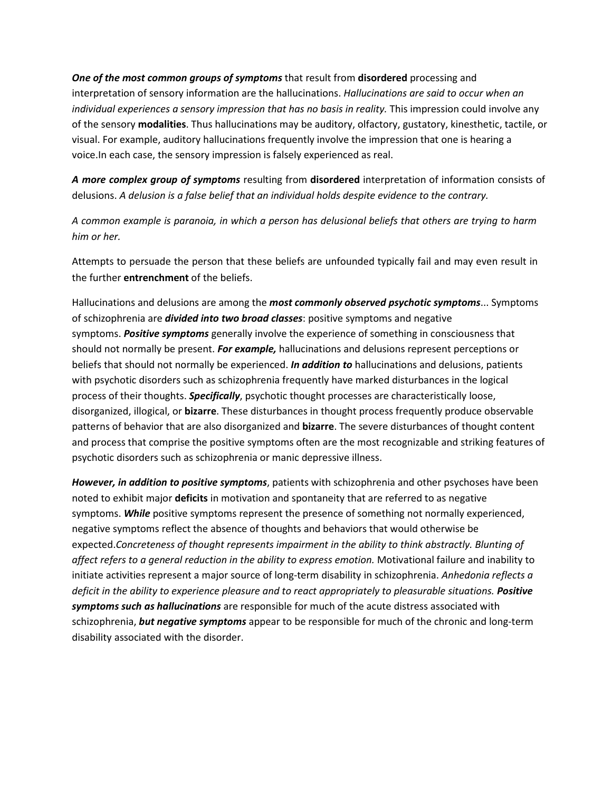#### One of the most common groups of symptoms that result from disordered processing and

interpretation of sensory information are the hallucinations. Hallucinations are said to occur when an individual experiences a sensory impression that has no basis in reality. This impression could involve any of the sensory modalities. Thus hallucinations may be auditory, olfactory, gustatory, kinesthetic, tactile, or visual. For example, auditory hallucinations frequently involve the impression that one is hearing a voice.In each case, the sensory impression is falsely experienced as real.

A more complex group of symptoms resulting from disordered interpretation of information consists of delusions. A delusion is a false belief that an individual holds despite evidence to the contrary.

A common example is paranoia, in which a person has delusional beliefs that others are trying to harm him or her.

Attempts to persuade the person that these beliefs are unfounded typically fail and may even result in the further **entrenchment** of the beliefs.

Hallucinations and delusions are among the most commonly observed psychotic symptoms... Symptoms of schizophrenia are *divided into two broad classes*: positive symptoms and negative symptoms. Positive symptoms generally involve the experience of something in consciousness that should not normally be present. For example, hallucinations and delusions represent perceptions or beliefs that should not normally be experienced. In addition to hallucinations and delusions, patients with psychotic disorders such as schizophrenia frequently have marked disturbances in the logical process of their thoughts. **Specifically**, psychotic thought processes are characteristically loose, disorganized, illogical, or **bizarre**. These disturbances in thought process frequently produce observable patterns of behavior that are also disorganized and **bizarre**. The severe disturbances of thought content and process that comprise the positive symptoms often are the most recognizable and striking features of psychotic disorders such as schizophrenia or manic depressive illness.

However, in addition to positive symptoms, patients with schizophrenia and other psychoses have been noted to exhibit major **deficits** in motivation and spontaneity that are referred to as negative symptoms. While positive symptoms represent the presence of something not normally experienced, negative symptoms reflect the absence of thoughts and behaviors that would otherwise be expected.Concreteness of thought represents impairment in the ability to think abstractly. Blunting of affect refers to a general reduction in the ability to express emotion. Motivational failure and inability to initiate activities represent a major source of long-term disability in schizophrenia. Anhedonia reflects a deficit in the ability to experience pleasure and to react appropriately to pleasurable situations. Positive symptoms such as hallucinations are responsible for much of the acute distress associated with schizophrenia, **but negative symptoms** appear to be responsible for much of the chronic and long-term disability associated with the disorder.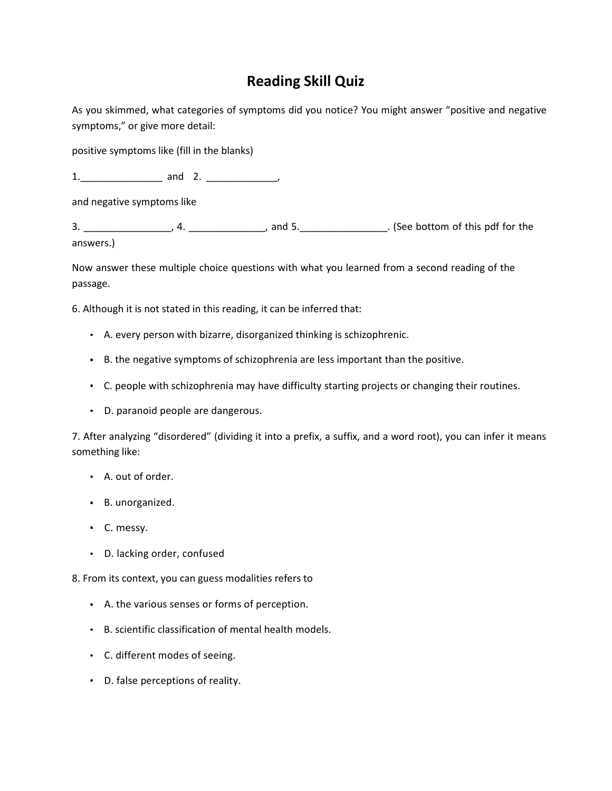### Reading Skill Quiz

As you skimmed, what categories of symptoms did you notice? You might answer "positive and negative symptoms," or give more detail:

positive symptoms like (fill in the blanks)

1. \_\_\_\_\_\_\_\_\_\_\_\_ and 2. \_\_\_\_\_\_\_\_\_\_\_\_\_\_\_,

and negative symptoms like

3. \_\_\_\_\_\_\_\_\_\_\_\_\_\_\_\_\_\_, 4. \_\_\_\_\_\_\_\_\_\_\_\_\_\_, and 5. \_\_\_\_\_\_\_\_\_\_\_\_\_\_\_\_\_. (See bottom of this pdf for the answers.)

Now answer these multiple choice questions with what you learned from a second reading of the passage.

6. Although it is not stated in this reading, it can be inferred that:

- A. every person with bizarre, disorganized thinking is schizophrenic.
- B. the negative symptoms of schizophrenia are less important than the positive.
- C. people with schizophrenia may have difficulty starting projects or changing their routines.
- D. paranoid people are dangerous.

7. After analyzing "disordered" (dividing it into a prefix, a suffix, and a word root), you can infer it means something like:

- A. out of order.
- B. unorganized.
- C. messy.
- D. lacking order, confused

8. From its context, you can guess modalities refers to

- A. the various senses or forms of perception.
- B. scientific classification of mental health models.
- C. different modes of seeing.
- D. false perceptions of reality.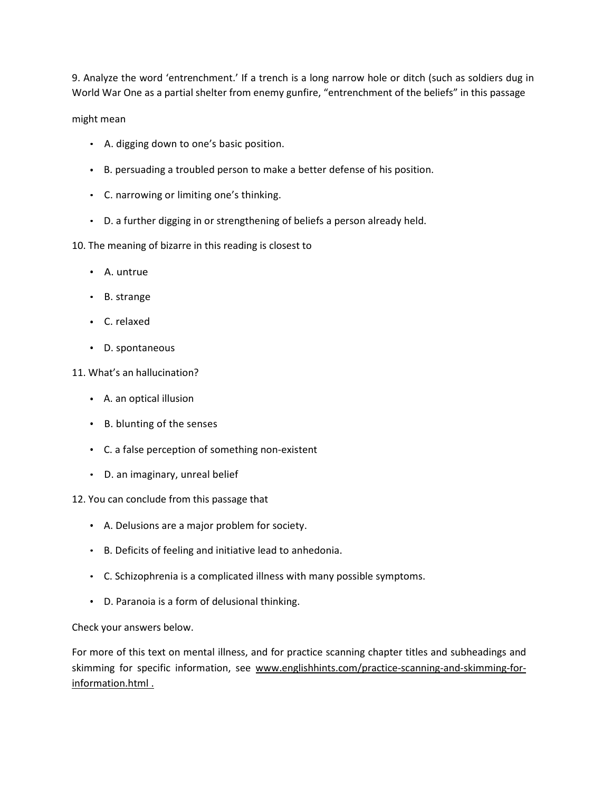9. Analyze the word 'entrenchment.' If a trench is a long narrow hole or ditch (such as soldiers dug in World War One as a partial shelter from enemy gunfire, "entrenchment of the beliefs" in this passage

#### might mean

- A. digging down to one's basic position.
- B. persuading a troubled person to make a better defense of his position.
- C. narrowing or limiting one's thinking.
- D. a further digging in or strengthening of beliefs a person already held.
- 10. The meaning of bizarre in this reading is closest to
	- A. untrue
	- B. strange
	- C. relaxed
	- D. spontaneous

#### 11. What's an hallucination?

- A. an optical illusion
- B. blunting of the senses
- C. a false perception of something non-existent
- D. an imaginary, unreal belief

#### 12. You can conclude from this passage that

- A. Delusions are a major problem for society.
- B. Deficits of feeling and initiative lead to anhedonia.
- C. Schizophrenia is a complicated illness with many possible symptoms.
- D. Paranoia is a form of delusional thinking.

Check your answers below.

For more of this text on mental illness, and for practice scanning chapter titles and subheadings and skimming for specific information, see www.englishhints.com/practice-scanning-and-skimming-forinformation.html .